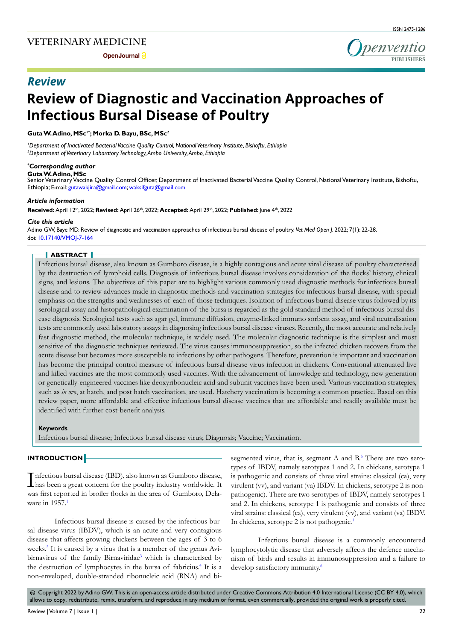**Open Journal** 



# *Review*

# **Review of Diagnostic and Vaccination Approaches of Infectious Bursal Disease of Poultry**

# Guta W. Adino, MSc<sup>1\*</sup>; Morka D. Bayu, BSc, MSc<sup>2</sup>

*1 Department of Inactivated Bacterial Vaccine Quality Control, National Veterinary Institute, Bishoftu, Ethiopia 2 Department of Veterinary Laboratory Technology, Ambo University, Ambo, Ethiopia*

## *\* Corresponding author*

#### **Guta W. Adino, MSc**

Senior Veterinary Vaccine Quality Control Officer, Department of Inactivated Bacterial Vaccine Quality Control, National Veterinary Institute, Bishoftu, Ethiopia; E-mail: gutawakjira@gmail.com; waksifguta@gmail.com

## *Article information*

**Received:** April 12th, 2022; **Revised:** April 26th, 2022; **Accepted:** April 29th, 2022; **Published:** June 4th, 2022

# *Cite this article*

Adino GW, Baye MD. Review of diagnostic and vaccination approaches of infectious bursal disease of poultry. *Vet Med Open J*. 2022; 7(1): 22-28. doi: [10.17140/VMOJ-7-164](http://dx.doi.org/10.17140/VMOJ-7-164)

# **ABSTRACT**

Infectious bursal disease, also known as Gumboro disease, is a highly contagious and acute viral disease of poultry characterised by the destruction of lymphoid cells. Diagnosis of infectious bursal disease involves consideration of the flocks' history, clinical signs, and lesions. The objectives of this paper are to highlight various commonly used diagnostic methods for infectious bursal disease and to review advances made in diagnostic methods and vaccination strategies for infectious bursal disease, with special emphasis on the strengths and weaknesses of each of those techniques. Isolation of infectious bursal disease virus followed by its serological assay and histopathological examination of the bursa is regarded as the gold standard method of infectious bursal disease diagnosis. Serological tests such as agar gel, immune diffusion, enzyme-linked immuno sorbent assay, and viral neutralisation tests are commonly used laboratory assays in diagnosing infectious bursal disease viruses. Recently, the most accurate and relatively fast diagnostic method, the molecular technique, is widely used. The molecular diagnostic technique is the simplest and most sensitive of the diagnostic techniques reviewed. The virus causes immunosuppression, so the infected chicken recovers from the acute disease but becomes more susceptible to infections by other pathogens. Therefore, prevention is important and vaccination has become the principal control measure of infectious bursal disease virus infection in chickens. Conventional attenuated live and killed vaccines are the most commonly used vaccines. With the advancement of knowledge and technology, new generation or genetically-engineered vaccines like deoxyribonucleic acid and subunit vaccines have been used. Various vaccination strategies, such as *in ovo*, at hatch, and post hatch vaccination, are used. Hatchery vaccination is becoming a common practice. Based on this review paper, more affordable and effective infectious bursal disease vaccines that are affordable and readily available must be identified with further cost-benefit analysis.

#### **Keywords**

Infectious bursal disease; Infectious bursal disease virus; Diagnosis; Vaccine; Vaccination.

## **INTRODUCTION**

I has been a great concern for the poultry industry worldwide. It nfectious bursal disease (IBD), also known as Gumboro disease, was first reported in broiler flocks in the area of Gumboro, Delaware in 1957.<sup>1</sup>

Infectious bursal disease is caused by the infectious bursal disease virus (IBDV), which is an acute and very contagious disease that affects growing chickens between the ages of 3 to 6 weeks.<sup>[2](#page-5-0)</sup> It is caused by a virus that is a member of the genus Avi-birnavirus of the family Birnaviridae<sup>[3](#page-5-1)</sup> which is characterised by the destruction of lymphocytes in the bursa of fabricius.<sup>4</sup> It is a non-enveloped, double-stranded ribonucleic acid (RNA) and bisegmented virus, that is, segment A and  $B$ <sup>5</sup> There are two serotypes of IBDV, namely serotypes 1 and 2. In chickens, serotype 1 is pathogenic and consists of three viral strains: classical (ca), very virulent (vv), and variant (va) IBDV. In chickens, serotype 2 is nonpathogenic). There are two serotypes of IBDV, namely serotypes 1 and 2. In chickens, serotype 1 is pathogenic and consists of three viral strains: classical (ca), very virulent (vv), and variant (va) IBDV. In chickens, serotype 2 is not pathogenic.<sup>[1](#page-4-0)</sup>

Infectious bursal disease is a commonly encountered lymphocytolytic disease that adversely affects the defence mechanism of birds and results in immunosuppression and a failure to develop satisfactory immunity.<sup>6</sup>

 $\circledcirc$  Copyright 2022 by Adino GW. This is an open-access article distributed under Creative Commons Attribution 4.0 International License (CC BY 4.0), which allows to copy, redistribute, remix, transform, and reproduce in any medium or format, even commercially, provided the original work is properly cited.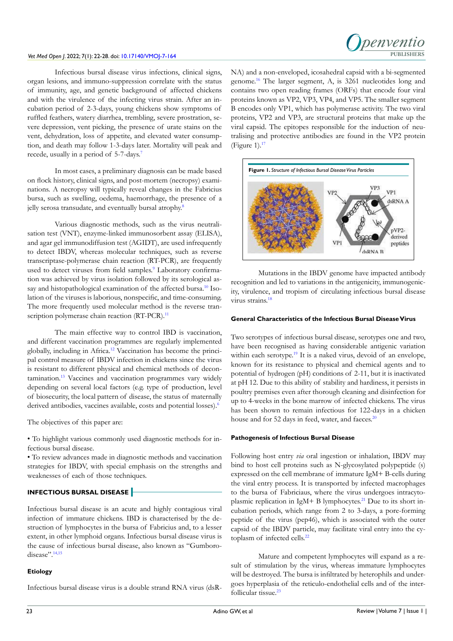Infectious bursal disease virus infections, clinical signs, organ lesions, and immuno-suppression correlate with the status of immunity, age, and genetic background of affected chickens and with the virulence of the infecting virus strain. After an incubation period of 2-3-days, young chickens show symptoms of ruffled feathers, watery diarrhea, trembling, severe prostration, severe depression, vent picking, the presence of urate stains on the vent, dehydration, loss of appetite, and elevated water consumption, and death may follow 1-3-days later. Mortality will peak and recede, usually in a period of 5-7-days.[7](#page-5-5)

In most cases, a preliminary diagnosis can be made based on flock history, clinical signs, and post-mortem (necropsy) examinations. A necropsy will typically reveal changes in the Fabricius bursa, such as swelling, oedema, haemorrhage, the presence of a jelly serosa transudate, and eventually bursal atrophy.<sup>8</sup>

Various diagnostic methods, such as the virus neutralisation test (VNT), enzyme-linked immunosorbent assay (ELISA), and agar gel immunodiffusion test (AGIDT), are used infrequently to detect IBDV, whereas molecular techniques, such as reverse transcriptase-polymerase chain reaction (RT-PCR), are frequently used to detect viruses from field samples.<sup>[9](#page-5-7)</sup> Laboratory confirmation was achieved by virus isolation followed by its serological assay and histopathological examination of the affected bursa.<sup>10</sup> Isolation of the viruses is laborious, nonspecific, and time-consuming. The more frequently used molecular method is the reverse tran-scription polymerase chain reaction (RT-PCR).<sup>[11](#page-5-9)</sup>

The main effective way to control IBD is vaccination, and different vaccination programmes are regularly implemented globally, including in Africa[.12](#page-5-10) Vaccination has become the principal control measure of IBDV infection in chickens since the virus is resistant to different physical and chemical methods of decon-tamination.<sup>[13](#page-5-11)</sup> Vaccines and vaccination programmes vary widely depending on several local factors (e.g. type of production, level of biosecurity, the local pattern of disease, the status of maternally derived antibodies, vaccines available, costs and potential losses).<sup>6</sup>

The objectives of this paper are:

• To highlight various commonly used diagnostic methods for infectious bursal disease.

• To review advances made in diagnostic methods and vaccination strategies for IBDV, with special emphasis on the strengths and weaknesses of each of those techniques.

# **INFECTIOUS BURSAL DISEASE**

Infectious bursal disease is an acute and highly contagious viral infection of immature chickens. IBD is characterised by the destruction of lymphocytes in the bursa of Fabricius and, to a lesser extent, in other lymphoid organs. Infectious bursal disease virus is the cause of infectious bursal disease, also known as "Gumboro-disease".<sup>[14,15](#page-5-12)</sup>

#### **Etiology**

Infectious bursal disease virus is a double strand RNA virus (dsR-



NA) and a non-enveloped, icosahedral capsid with a bi-segmented genome.[16](#page-5-13) The larger segment, A, is 3261 nucleotides long and contains two open reading frames (ORFs) that encode four viral proteins known as VP2, VP3, VP4, and VP5. The smaller segment B encodes only VP1, which has polymerase activity. The two viral proteins, VP2 and VP3, are structural proteins that make up the viral capsid. The epitopes responsible for the induction of neutralising and protective antibodies are found in the VP2 protein (Figure 1). $17$ 



Mutations in the IBDV genome have impacted antibody recognition and led to variations in the antigenicity, immunogenicity, virulence, and tropism of circulating infectious bursal disease virus strains[.18](#page-5-15)

#### **General Characteristics of the Infectious Bursal Disease Virus**

Two serotypes of infectious bursal disease, serotypes one and two, have been recognised as having considerable antigenic variation within each serotype.<sup>[19](#page-5-16)</sup> It is a naked virus, devoid of an envelope, known for its resistance to physical and chemical agents and to potential of hydrogen (pH) conditions of 2-11, but it is inactivated at pH 12. Due to this ability of stability and hardiness, it persists in poultry premises even after thorough cleaning and disinfection for up to 4-weeks in the bone marrow of infected chickens. The virus has been shown to remain infectious for 122-days in a chicken house and for 52 days in feed, water, and faeces.<sup>20</sup>

#### **Pathogenesis of Infectious Bursal Disease**

Following host entry *via* oral ingestion or inhalation, IBDV may bind to host cell proteins such as N-glycosylated polypeptide (s) expressed on the cell membrane of immature IgM+ B-cells during the viral entry process. It is transported by infected macrophages to the bursa of Fabriciaus, where the virus undergoes intracytoplasmic replication in IgM+ B lymphocytes.<sup>21</sup> Due to its short incubation periods, which range from 2 to 3-days, a pore-forming peptide of the virus (pep46), which is associated with the outer capsid of the IBDV particle, may facilitate viral entry into the cytoplasm of infected cells.<sup>22</sup>

Mature and competent lymphocytes will expand as a result of stimulation by the virus, whereas immature lymphocytes will be destroyed. The bursa is infiltrated by heterophils and undergoes hyperplasia of the reticulo-endothelial cells and of the inter-follicular tissue.<sup>[23](#page-5-20)</sup>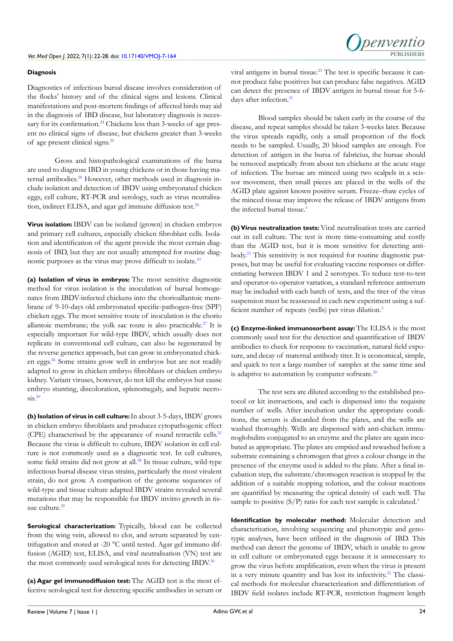#### **Diagnosis**

Diagnostics of infectious bursal disease involves consideration of the flocks' history and of the clinical signs and lesions. Clinical manifestations and post-mortem findings of affected birds may aid in the diagnosis of IBD disease, but laboratory diagnosis is neces-sary for its confirmation.<sup>[24](#page-5-21)</sup> Chickens less than 3-weeks of age present no clinical signs of disease, but chickens greater than 3-weeks of age present clinical signs.[25](#page-5-22)

Gross and histopathological examinations of the bursa are used to diagnose IBD in young chickens or in those having ma-ternal antibodies.<sup>[20](#page-5-17)</sup> However, other methods used in diagnosis include isolation and detection of IBDV using embryonated chicken eggs, cell culture, RT-PCR and serology, such as virus neutralisation, indirect ELISA, and agar gel immune diffusion test.<sup>26</sup>

**Virus isolation:**IBDV can be isolated (grown) in chicken embryos and primary cell cultures, especially chicken fibroblast cells. Isolation and identification of the agent provide the most certain diagnosis of IBD, but they are not usually attempted for routine diagnostic purposes as the virus may prove difficult to isolate.[10](#page-5-8)

**(a) Isolation of virus in embryos:** The most sensitive diagnostic method for virus isolation is the inoculation of bursal homogenates from IBDV-infected chickens into the chorioallantoic membrane of 9-10-days old embryonated specific-pathogen-free (SPF) chicken eggs. The most sensitive route of inoculation is the chorio allantoic membrane; the yolk sac route is also practicable.<sup>27</sup> It is especially important for wild-type IBDV, which usually does not replicate in conventional cell culture, can also be regenerated by the reverse genetics approach, but can grow in embryonated chicken eggs.[26](#page-5-23) Some strains grow well in embryos but are not readily adapted to grow in chicken embryo fibroblasts or chicken embryo kidney. Variant viruses, however, do not kill the embryos but cause embryo stunting, discoloration, splenomegaly, and hepatic necro- $\text{sis.}^{20}$ 

**(b) Isolation of virus in cell culture:**In about 3-5-days, IBDV grows in chicken embryo fibroblasts and produces cytopathogenic effect (CPE) characterised by the appearance of round retractile cells[.21](#page-5-18) Because the virus is difficult to culture, IBDV isolation in cell culture is not commonly used as a diagnostic test. In cell cultures, some field strains did not grow at all.[28](#page-6-0) In tissue culture, wild-type infectious bursal disease virus strains, particularly the most virulent strain, do not grow. A comparison of the genome sequences of wild-type and tissue culture adapted IBDV strains revealed several mutations that may be responsible for IBDV invitro growth in tis-sue culture.<sup>[29](#page-6-1)</sup>

**Serological characterization:** Typically, blood can be collected from the wing vein, allowed to clot, and serum separated by centrifugation and stored at -20 °C until tested. Agar gel immuno diffusion (AGID) test, ELISA, and viral neutralisation (VN) test are the most commonly used serological tests for detecting IBDV.<sup>30</sup>

**(a) Agar gel immunodiffusion test:** The AGID test is the most effective serological test for detecting specific antibodies in serum or viral antigens in bursal tissue.[23](#page-5-20) The test is specific because it cannot produce false positives but can produce false negatives. AGID can detect the presence of IBDV antigen in bursal tissue for 5-6- days after infection.<sup>[31](#page-6-3)</sup>

Blood samples should be taken early in the course of the disease, and repeat samples should be taken 3-weeks later. Because the virus spreads rapidly, only a small proportion of the flock needs to be sampled. Usually, 20 blood samples are enough. For detection of antigen in the bursa of fabricius, the bursae should be removed aseptically from about ten chickens at the acute stage of infection. The bursae are minced using two scalpels in a scissor movement, then small pieces are placed in the wells of the AGID plate against known positive serum. Freeze–thaw cycles of the minced tissue may improve the release of IBDV antigens from the infected bursal tissue.<sup>3</sup>

**(b) Virus neutralization tests:** Viral neutralisation tests are carried out in cell culture. The test is more time-consuming and costly than the AGID test, but it is more sensitive for detecting antibody[.23](#page-5-20) This sensitivity is not required for routine diagnostic purposes, but may be useful for evaluating vaccine responses or differentiating between IBDV 1 and 2 serotypes. To reduce test-to-test and operator-to-operator variation, a standard reference antiserum may be included with each batch of tests, and the titer of the virus suspension must be reassessed in each new experiment using a suf-ficient number of repeats (wells) per virus dilution.<sup>[3](#page-5-1)</sup>

**(c) Enzyme-linked immunosorbent assay:** The ELISA is the most commonly used test for the detection and quantification of IBDV antibodies to check for response to vaccination, natural field exposure, and decay of maternal antibody titer. It is economical, simple, and quick to test a large number of samples at the same time and is adaptive to automation by computer software. $20$ 

The test sera are diluted according to the established protocol or kit instructions, and each is dispensed into the requisite number of wells. After incubation under the appropriate conditions, the serum is discarded from the plates, and the wells are washed thoroughly. Wells are dispensed with anti-chicken immunoglobulins conjugated to an enzyme and the plates are again incubated as appropriate. The plates are emptied and rewashed before a substrate containing a chromogen that gives a colour change in the presence of the enzyme used is added to the plate. After a final incubation step, the substrate/chromogen reaction is stopped by the addition of a suitable stopping solution, and the colour reactions are quantified by measuring the optical density of each well. The sample to positive  $(S/P)$  ratio for each test sample is calculated.<sup>3</sup>

**Identification by molecular method:** Molecular detection and characterisation, involving sequencing and phenotypic and genotypic analyses, have been utilised in the diagnosis of IBD. This method can detect the genome of IBDV, which is unable to grow in cell culture or embryonated eggs because it is unnecessary to grow the virus before amplification, even when the virus is present in a very minute quantity and has lost its infectivity[.32](#page-6-4) The classical methods for molecular characterization and differentiation of IBDV field isolates include RT-PCR, restriction fragment length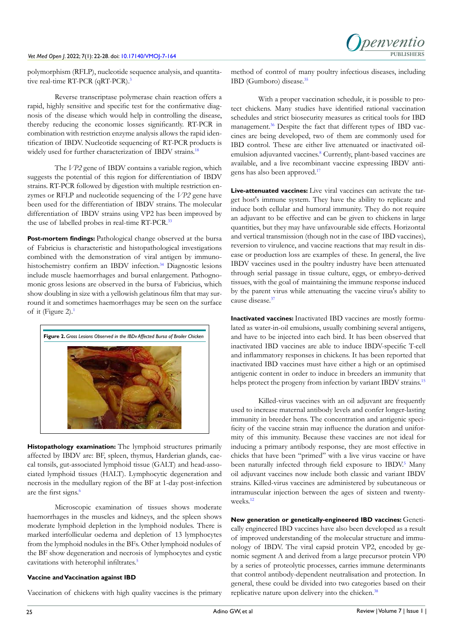

polymorphism (RFLP), nucleotide sequence analysis, and quantitative real-time RT-PCR (qRT-PCR).<sup>3</sup>

Reverse transcriptase polymerase chain reaction offers a rapid, highly sensitive and specific test for the confirmative diagnosis of the disease which would help in controlling the disease, thereby reducing the economic losses significantly. RT-PCR in combination with restriction enzyme analysis allows the rapid identification of IBDV. Nucleotide sequencing of RT-PCR products is widely used for further characterization of IBDV strains.<sup>18</sup>

The *VP2* gene of IBDV contains a variable region, which suggests the potential of this region for differentiation of IBDV strains. RT-PCR followed by digestion with multiple restriction enzymes or RFLP and nucleotide sequencing of the *VP2* gene have been used for the differentiation of IBDV strains. The molecular differentiation of IBDV strains using VP2 has been improved by the use of labelled probes in real-time RT-PCR.<sup>[33](#page-6-5)</sup>

**Post-mortem findings:** Pathological change observed at the bursa of Fabricius is characteristic and histopathological investigations combined with the demonstration of viral antigen by immuno-histochemistry confirm an IBDV infection.<sup>[34](#page-6-6)</sup> Diagnostic lesions include muscle haemorrhages and bursal enlargement. Pathognomonic gross lesions are observed in the bursa of Fabricius, which show doubling in size with a yellowish gelatinous film that may surround it and sometimes haemorrhages may be seen on the surface of it (Figure 2). $<sup>1</sup>$  $<sup>1</sup>$  $<sup>1</sup>$ </sup>



**Histopathology examination:** The lymphoid structures primarily affected by IBDV are: BF, spleen, thymus, Harderian glands, caecal tonsils, gut-associated lymphoid tissue (GALT) and head-associated lymphoid tissues (HALT). Lymphocytic degeneration and necrosis in the medullary region of the BF at 1-day post-infection are the first signs.<sup>[6](#page-5-4)</sup>

Microscopic examination of tissues shows moderate haemorrhages in the muscles and kidneys, and the spleen shows moderate lymphoid depletion in the lymphoid nodules. There is marked interfollicular oedema and depletion of 13 lymphocytes from the lymphoid nodules in the BFs. Other lymphoid nodules of the BF show degeneration and necrosis of lymphocytes and cystic cavitations with heterophil infiltrates.<sup>[5](#page-5-3)</sup>

## **Vaccine and Vaccination against IBD**

Vaccination of chickens with high quality vaccines is the primary

method of control of many poultry infectious diseases, including IBD (Gumboro) disease.[35](#page-6-7)

With a proper vaccination schedule, it is possible to protect chickens. Many studies have identified rational vaccination schedules and strict biosecurity measures as critical tools for IBD management.<sup>36</sup> Despite the fact that different types of IBD vaccines are being developed, two of them are commonly used for IBD control. These are either live attenuated or inactivated oil-emulsion adjuvanted vaccines.<sup>[8](#page-5-6)</sup> Currently, plant-based vaccines are available, and a live recombinant vaccine expressing IBDV antigens has also been approved[.17](#page-5-14)

**Live-attenuated vaccines:** Live viral vaccines can activate the target host's immune system. They have the ability to replicate and induce both cellular and humoral immunity. They do not require an adjuvant to be effective and can be given to chickens in large quantities, but they may have unfavourable side effects. Horizontal and vertical transmission (though not in the case of IBD vaccines), reversion to virulence, and vaccine reactions that may result in disease or production loss are examples of these. In general, the live IBDV vaccines used in the poultry industry have been attenuated through serial passage in tissue culture, eggs, or embryo-derived tissues, with the goal of maintaining the immune response induced by the parent virus while attenuating the vaccine virus's ability to cause disease[.37](#page-6-9)

**Inactivated vaccines:** Inactivated IBD vaccines are mostly formulated as water-in-oil emulsions, usually combining several antigens, and have to be injected into each bird. It has been observed that inactivated IBD vaccines are able to induce IBDV-specific T-cell and inflammatory responses in chickens. It has been reported that inactivated IBD vaccines must have either a high or an optimised antigenic content in order to induce in breeders an immunity that helps protect the progeny from infection by variant IBDV strains.<sup>[15](#page-5-25)</sup>

Killed-virus vaccines with an oil adjuvant are frequently used to increase maternal antibody levels and confer longer-lasting immunity in breeder hens. The concentration and antigenic specificity of the vaccine strain may influence the duration and uniformity of this immunity. Because these vaccines are not ideal for inducing a primary antibody response, they are most effective in chicks that have been "primed" with a live virus vaccine or have been naturally infected through field exposure to IBDV.<sup>[5](#page-5-3)</sup> Many oil adjuvant vaccines now include both classic and variant IBDV strains. Killed-virus vaccines are administered by subcutaneous or intramuscular injection between the ages of sixteen and twenty-weeks.<sup>[12](#page-5-10)</sup>

**New generation or genetically-engineered IBD vaccines:** Genetically engineered IBD vaccines have also been developed as a result of improved understanding of the molecular structure and immunology of IBDV. The viral capsid protein VP2, encoded by genomic segment A and derived from a large precursor protein VP0 by a series of proteolytic processes, carries immune determinants that control antibody-dependent neutralisation and protection. In general, these could be divided into two categories based on their replicative nature upon delivery into the chicken.<sup>[38](#page-6-10)</sup>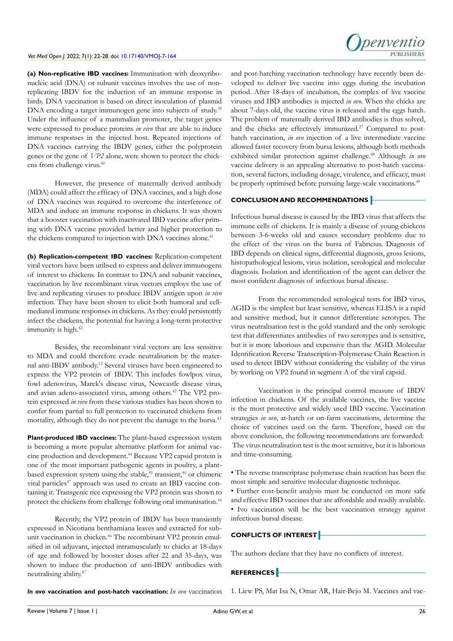**(a) Non-replicative IBD vaccines:** Immunisation with deoxyribonucleic acid (DNA) or subunit vaccines involves the use of nonreplicating IBDV for the induction of an immune response in birds. DNA vaccination is based on direct inoculation of plasmid DNA encoding a target immunogen gene into subjects of study.<sup>39</sup> Under the influence of a mammalian promoter, the target genes were expressed to produce proteins *in vivo* that are able to induce immune responses in the injected host. Repeated injections of DNA vaccines carrying the IBDV genes, either the polyprotein genes or the gene of *VP2* alone, were shown to protect the chick-ens from challenge virus.<sup>[40](#page-6-12)</sup>

However, the presence of maternally derived antibody (MDA) could affect the efficacy of DNA vaccines, and a high dose of DNA vaccines was required to overcome the interference of MDA and induce an immune response in chickens. It was shown that a booster vaccination with inactivated IBD vaccine after priming with DNA vaccine provided better and higher protection to the chickens compared to injection with DNA vaccines alone.<sup>41</sup>

**(b) Replication-competent IBD vaccines:** Replication-competent viral vectors have been utilised to express and deliver immunogens of interest to chickens. In contrast to DNA and subunit vaccines, vaccination by live recombinant virus vectors employs the use of live and replicating viruses to produce IBDV antigen upon *in vivo* infection. They have been shown to elicit both humoral and cellmediated immune responses in chickens. As they could persistently infect the chickens, the potential for having a long-term protective immunity is high.<sup>42</sup>

Besides, the recombinant viral vectors are less sensitive to MDA and could therefore evade neutralisation by the maternal anti-IBDV antibody[.12](#page-5-10) Several viruses have been engineered to express the VP2 protein of IBDV. This includes fowlpox virus, fowl adenovirus, Marek's disease virus, Newcastle disease virus, and avian adeno-associated virus, among others.[42](#page-6-14) The VP2 protein expressed *in vivo* from these various studies has been shown to confer from partial to full protection to vaccinated chickens from mortality, although they do not prevent the damage to the bursa[.43](#page-6-15)

**Plant-produced IBD vaccines:** The plant-based expression system is becoming a more popular alternative platform for animal vaccine production and development[.44](#page-6-16) Because VP2 capsid protein is one of the most important pathogenic agents in poultry, a plantbased expression system using the stable,<sup>45</sup> transient,<sup>46</sup> or chimeric viral particles<sup>[47](#page-6-19)</sup> approach was used to create an IBD vaccine containing it. Transgenic rice expressing the VP2 protein was shown to protect the chickens from challenge following oral immunisation[.16](#page-5-13)

Recently, the VP2 protein of IBDV has been transiently expressed in Nicotiana benthamiana leaves and extracted for subunit vaccination in chicken.[46](#page-6-18) The recombinant VP2 protein emulsified in oil adjuvant, injected intramuscularly to chicks at 18-days of age and followed by booster doses after 22 and 35-days, was shown to induce the production of anti-IBDV antibodies with neutralising ability.[47](#page-6-19)



and post-hatching vaccination technology have recently been developed to deliver live vaccine into eggs during the incubation period. After 18-days of incubation, the complex of live vaccine viruses and IBD antibodies is injected *in ovo*. When the chicks are about 7-days old, the vaccine virus is released and the eggs hatch. The problem of maternally derived IBD antibodies is thus solved, and the chicks are effectively immunized.<sup>[27](#page-5-24)</sup> Compared to posthatch vaccination, *in ovo* injection of a live intermediate vaccine allowed faster recovery from bursa lesions, although both methods exhibited similar protection against challenge[.48](#page-6-20) Although *in ovo* vaccine delivery is an appealing alternative to post-hatch vaccination, several factors, including dosage, virulence, and efficacy, must be properly optimised before pursuing large-scale vaccinations.<sup>[49](#page-6-21)</sup>

## **CONCLUSION AND RECOMMENDATIONS**

Infectious bursal disease is caused by the IBD virus that affects the immune cells of chickens. It is mainly a disease of young chickens between 3-6-weeks old and causes secondary problems due to the effect of the virus on the bursa of Fabricius. Diagnosis of IBD depends on clinical signs, differential diagnosis, gross lesions, histopathological lesions, virus isolation, serological and molecular diagnosis. Isolation and identification of the agent can deliver the most confident diagnosis of infectious bursal disease.

From the recommended serological tests for IBD virus, AGID is the simplest but least sensitive, whereas ELISA is a rapid and sensitive method, but it cannot differentiate serotypes. The virus neutralisation test is the gold standard and the only serologic test that differentiates antibodies of two serotypes and is sensitive, but it is more laborious and expensive than the AGID. Molecular Identification Reverse Transcription-Polymerase Chain Reaction is used to detect IBDV without considering the viability of the virus by working on VP2 found in segment A of the viral capsid.

Vaccination is the principal control measure of IBDV infection in chickens. Of the available vaccines, the live vaccine is the most protective and widely used IBD vaccine. Vaccination strategies *in ovo*, at-hatch or on-farm vaccinations, determine the choice of vaccines used on the farm. Therefore, based on the above conclusion, the following recommendations are forwarded: The virus neutralisation test is the most sensitive, but it is laborious and time-consuming.

• The reverse transcriptase polymerase chain reaction has been the most simple and sensitive molecular diagnostic technique.

• Further cost-benefit analysis must be conducted on more safe and effective IBD vaccines that are affordable and readily available. • Ivo vaccination will be the best vaccination strategy against infectious bursal disease.

## **CONFLICTS OF INTEREST**

The authors declare that they have no conflicts of interest.

# **REFERENCES**

*In ovo* **vaccination and post-hatch vaccination:** *In ovo* vaccination

<span id="page-4-0"></span>1. Liew PS, Mat Isa N, Omar AR, Hair-Bejo M. Vaccines and vac-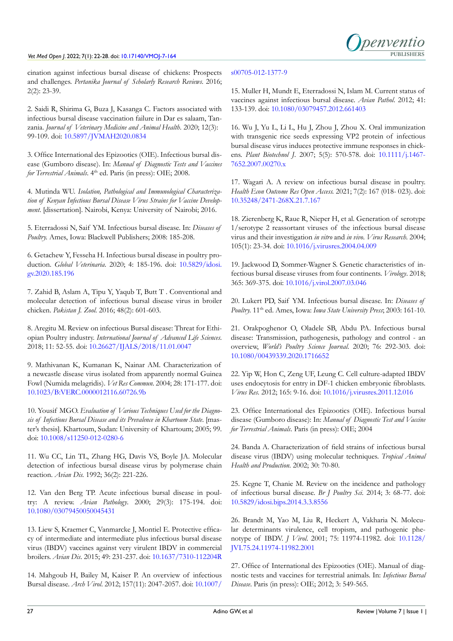

cination against infectious bursal disease of chickens: Prospects and challenges. *Pertanika Journal of Scholarly Research Reviews*. 2016; 2(2): 23-39.

<span id="page-5-0"></span>2. Saidi R, Shirima G, Buza J, Kasanga C. Factors associated with infectious bursal disease vaccination failure in Dar es salaam, Tanzania. *Journal of Veterinary Medicine and Animal Health*. 2020; 12(3): 99-109. doi: [10.5897/JVMAH2020.0834](http://doi.org/10.5897/JVMAH2020.0834)

<span id="page-5-1"></span>3. Office International des Epizootics (OIE). Infectious bursal disease (Gumboro disease). In: *Manual of Diagnostic Tests and Vaccines for Terrestrial Animals*. 4<sup>th</sup> ed. Paris (in press): OIE: 2008.

<span id="page-5-2"></span>4. Mutinda WU. *Isolation, Pathological and Immunological Characterization of Kenyan Infectious Bursal Disease Virus Strains for Vaccine Development*. [dissertation]. Nairobi, Kenya: University of Nairobi; 2016.

<span id="page-5-3"></span>5. Eterradossi N, Saif YM. Infectious bursal disease. In: *Diseases of Poultry.* Ames, Iowa: Blackwell Publishers; 2008: 185-208.

<span id="page-5-4"></span>6. Getachew Y, Fesseha H. Infectious bursal disease in poultry production. *Global Veterinaria*. 2020; 4: 185-196. doi: [10.5829/idosi.](http://doi.org/10.5829/idosi.gv.2020.185.196) [gv.2020.185.196](http://doi.org/10.5829/idosi.gv.2020.185.196)

<span id="page-5-5"></span>7. Zahid B, Aslam A, Tipu Y, Yaqub T, Butt T . Conventional and molecular detection of infectious bursal disease virus in broiler chicken. *Pakistan J. Zool*. 2016; 48(2): 601-603.

<span id="page-5-6"></span>8. Aregitu M. Review on infectious Bursal disease: Threat for Ethiopian Poultry industry. *International Journal of Advanced Life Sciences*. 2018; 11: 52-55. doi: [10.26627/IJALS/2018/11.01.0047](http://doi.org/10.26627/IJALS/2018/11.01.0047)

<span id="page-5-7"></span>9. Mathivanan K, Kumanan K, Nainar AM. Characterization of a newcastle disease virus isolated from apparently normal Guinea Fowl (Numida melagridis). *Vet Res Commun*. 2004; 28: 171-177. doi: [10.1023/B:VERC.0000012116.60726.9b](http://doi.org/10.1023/B:VERC.0000012116.60726.9b)

<span id="page-5-8"></span>10. Yousif MGO. *Evaluation of Various Techniques Used for the Diagnosis of Infectious Bursal Disease and its Prevalence in Khartoum State*. [master's thesis]. Khartoum, Sudan: University of Khartoum; 2005; 99. doi: [10.1008/s11250-012-0280-6](http://doi.org/10.1008/s11250-012-0280-6)

<span id="page-5-9"></span>11. Wu CC, Lin TL, Zhang HG, Davis VS, Boyle JA. Molecular detection of infectious bursal disease virus by polymerase chain reaction. *Avian Dis.* 1992; 36(2): 221-226.

<span id="page-5-10"></span>12. Van den Berg TP. Acute infectious bursal disease in poultry: A review. *Avian Pathology*. 2000; 29(3): 175-194. doi: [10.1080/03079450050045431](http://doi.org/10.1080/03079450050045431)

<span id="page-5-11"></span>13. Liew S, Kraemer C, Vanmarcke J, Montiel E. Protective efficacy of intermediate and intermediate plus infectious bursal disease virus (IBDV) vaccines against very virulent IBDV in commercial broilers. *Avian Dis*. 2015; 49: 231-237. doi: [10.1637/7310-112204R](http://doi.org/10.1637/7310-112204R)

<span id="page-5-12"></span>14. Mahgoub H, Bailey M, Kaiser P. An overview of infectious Bursal disease. *Arch Virol*. 2012; 157(11): 2047-2057. doi: [10.1007/](http://doi.org/10.1007/s00705-012-1377-9)

#### [s00705-012-1377-9](http://doi.org/10.1007/s00705-012-1377-9)

<span id="page-5-25"></span>15. Muller H, Mundt E, Eterradossi N, Islam M. Current status of vaccines against infectious bursal disease. *Avian Pathol*. 2012; 41: 133-139. doi: [10.1080/03079457.2012.661403](http://doi.org/10.1080/03079457.2012.661403)

<span id="page-5-13"></span>16. Wu J, Yu L, Li L, Hu J, Zhou J, Zhou X. Oral immunization with transgenic rice seeds expressing VP2 protein of infectious bursal disease virus induces protective immune responses in chickens. *Plant Biotechnol J*. 2007; 5(5): 570-578. doi: [10.1111/j.1467-](http://doi.org/10.1111/j.1467-7652.2007.00270.x) [7652.2007.00270.x](http://doi.org/10.1111/j.1467-7652.2007.00270.x)

<span id="page-5-14"></span>17. Wagari A. A review on infectious bursal disease in poultry. *Health Econ Outcome Res Open Access.* 2021; 7(2): 167 (018- 023). doi: [10.35248/2471-268X.21.7.167](http://doi.org/10.35248/2471-268X.21.7.167)

<span id="page-5-15"></span>18. Zierenberg K, Raue R, Nieper H, et al. Generation of serotype 1/serotype 2 reassortant viruses of the infectious bursal disease virus and their investigation *in vitro* and *in vivo*. *Virus Research*. 2004; 105(1): 23-34. doi: [10.1016/j.virusres.2004.04.009](http://doi.org/10.1016/j.virusres.2004.04.009)

<span id="page-5-16"></span>19. Jackwood D, Sommer-Wagner S. Genetic characteristics of infectious bursal disease viruses from four continents. *Virology*. 2018; 365: 369-375. doi: [10.1016/j.virol.2007.03.046](http://doi.org/10.1016/j.virol.2007.03.046)

<span id="page-5-17"></span>20. Lukert PD, Saif YM. Infectious bursal disease. In: *Diseases of Poultry.* 11th ed. Ames, Iowa: *Iowa State University Press*; 2003: 161-10.

<span id="page-5-18"></span>21. Orakpoghenor O, Oladele SB, Abdu PA. Infectious bursal disease: Transmission, pathogenesis, pathology and control - an overview, *World's Poultry Science Journal*. 2020; 76: 292-303. doi: [10.1080/00439339.2020.1716652](http://doi.org/10.1080/00439339.2020.1716652)

<span id="page-5-19"></span>22. Yip W, Hon C, Zeng UF, Leung C. Cell culture-adapted IBDV uses endocytosis for entry in DF-1 chicken embryonic fibroblasts. *Virus Res*. 2012; 165: 9-16. doi: [10.1016/j.virusres.2011.12.016](http://doi.org/10.1016/j.virusres.2011.12.016)

<span id="page-5-20"></span>23. Office International des Epizootics (OIE). Infectious bursal disease (Gumboro disease): In: *Manual of Diagnostic Test and Vaccine for Terrestrial Animals*. Paris (in press): OIE; 2004

<span id="page-5-21"></span>24. Banda A. Characterization of field strains of infectious bursal disease virus (IBDV) using molecular techniques. *Tropical Animal Health and Production*. 2002; 30: 70-80.

<span id="page-5-22"></span>25. Kegne T, Chanie M. Review on the incidence and pathology of infectious bursal disease. *Br J Poultry Sci*. 2014; 3: 68-77. doi: [10.5829/idosi.bjps.2014.3.3.8556](http://doi.org/10.5829/idosi.bjps.2014.3.3.8556)

<span id="page-5-23"></span>26. Brandt M, Yao M, Liu R, Heckert A, Vakharia N. Molecular determinants virulence, cell tropism, and pathogenic phenotype of IBDV. *J Virol*. 2001; 75: 11974-11982. doi: [10.1128/](http://doi.org/10.1128/JVI.75.24.11974-11982.2001) [JVI.75.24.11974-11982.2001](http://doi.org/10.1128/JVI.75.24.11974-11982.2001)

<span id="page-5-24"></span>27. Office of International des Epizooties (OIE). Manual of diagnostic tests and vaccines for terrestrial animals. In: *Infectious Bursal Disease*. Paris (in press): OIE; 2012; 3: 549-565.